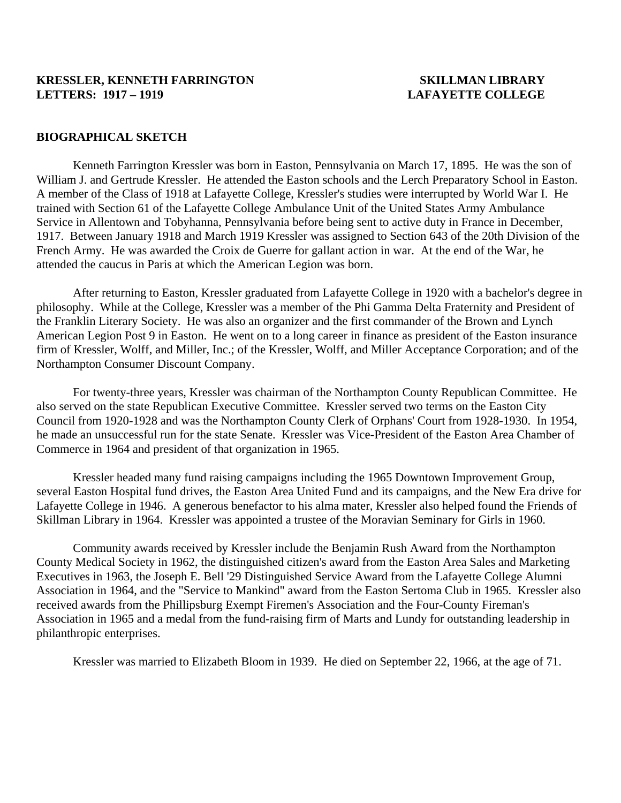## **KRESSLER, KENNETH FARRINGTON SKILLMAN LIBRARY LETTERS: 1917 – 1919 LAFAYETTE COLLEGE**

## **BIOGRAPHICAL SKETCH**

 Kenneth Farrington Kressler was born in Easton, Pennsylvania on March 17, 1895. He was the son of William J. and Gertrude Kressler. He attended the Easton schools and the Lerch Preparatory School in Easton. A member of the Class of 1918 at Lafayette College, Kressler's studies were interrupted by World War I. He trained with Section 61 of the Lafayette College Ambulance Unit of the United States Army Ambulance Service in Allentown and Tobyhanna, Pennsylvania before being sent to active duty in France in December, 1917. Between January 1918 and March 1919 Kressler was assigned to Section 643 of the 20th Division of the French Army. He was awarded the Croix de Guerre for gallant action in war. At the end of the War, he attended the caucus in Paris at which the American Legion was born.

 After returning to Easton, Kressler graduated from Lafayette College in 1920 with a bachelor's degree in philosophy. While at the College, Kressler was a member of the Phi Gamma Delta Fraternity and President of the Franklin Literary Society. He was also an organizer and the first commander of the Brown and Lynch American Legion Post 9 in Easton. He went on to a long career in finance as president of the Easton insurance firm of Kressler, Wolff, and Miller, Inc.; of the Kressler, Wolff, and Miller Acceptance Corporation; and of the Northampton Consumer Discount Company.

 For twenty-three years, Kressler was chairman of the Northampton County Republican Committee. He also served on the state Republican Executive Committee. Kressler served two terms on the Easton City Council from 1920-1928 and was the Northampton County Clerk of Orphans' Court from 1928-1930. In 1954, he made an unsuccessful run for the state Senate. Kressler was Vice-President of the Easton Area Chamber of Commerce in 1964 and president of that organization in 1965.

 Kressler headed many fund raising campaigns including the 1965 Downtown Improvement Group, several Easton Hospital fund drives, the Easton Area United Fund and its campaigns, and the New Era drive for Lafayette College in 1946. A generous benefactor to his alma mater, Kressler also helped found the Friends of Skillman Library in 1964. Kressler was appointed a trustee of the Moravian Seminary for Girls in 1960.

 Community awards received by Kressler include the Benjamin Rush Award from the Northampton County Medical Society in 1962, the distinguished citizen's award from the Easton Area Sales and Marketing Executives in 1963, the Joseph E. Bell '29 Distinguished Service Award from the Lafayette College Alumni Association in 1964, and the "Service to Mankind" award from the Easton Sertoma Club in 1965. Kressler also received awards from the Phillipsburg Exempt Firemen's Association and the Four-County Fireman's Association in 1965 and a medal from the fund-raising firm of Marts and Lundy for outstanding leadership in philanthropic enterprises.

Kressler was married to Elizabeth Bloom in 1939. He died on September 22, 1966, at the age of 71.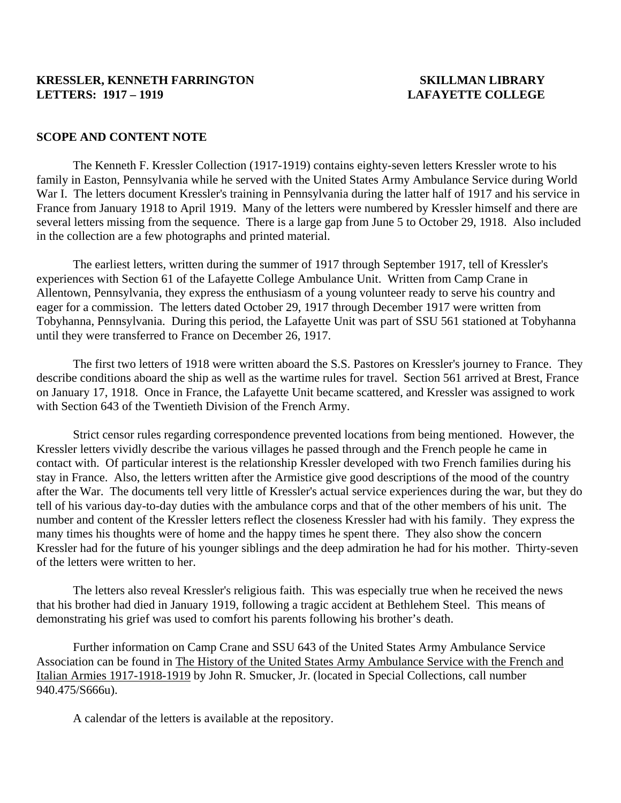## **KRESSLER, KENNETH FARRINGTON SKILLMAN LIBRARY LETTERS: 1917 – 1919 LAFAYETTE COLLEGE**

### **SCOPE AND CONTENT NOTE**

 The Kenneth F. Kressler Collection (1917-1919) contains eighty-seven letters Kressler wrote to his family in Easton, Pennsylvania while he served with the United States Army Ambulance Service during World War I. The letters document Kressler's training in Pennsylvania during the latter half of 1917 and his service in France from January 1918 to April 1919. Many of the letters were numbered by Kressler himself and there are several letters missing from the sequence. There is a large gap from June 5 to October 29, 1918. Also included in the collection are a few photographs and printed material.

 The earliest letters, written during the summer of 1917 through September 1917, tell of Kressler's experiences with Section 61 of the Lafayette College Ambulance Unit. Written from Camp Crane in Allentown, Pennsylvania, they express the enthusiasm of a young volunteer ready to serve his country and eager for a commission. The letters dated October 29, 1917 through December 1917 were written from Tobyhanna, Pennsylvania. During this period, the Lafayette Unit was part of SSU 561 stationed at Tobyhanna until they were transferred to France on December 26, 1917.

 The first two letters of 1918 were written aboard the S.S. Pastores on Kressler's journey to France. They describe conditions aboard the ship as well as the wartime rules for travel. Section 561 arrived at Brest, France on January 17, 1918. Once in France, the Lafayette Unit became scattered, and Kressler was assigned to work with Section 643 of the Twentieth Division of the French Army.

 Strict censor rules regarding correspondence prevented locations from being mentioned. However, the Kressler letters vividly describe the various villages he passed through and the French people he came in contact with. Of particular interest is the relationship Kressler developed with two French families during his stay in France. Also, the letters written after the Armistice give good descriptions of the mood of the country after the War. The documents tell very little of Kressler's actual service experiences during the war, but they do tell of his various day-to-day duties with the ambulance corps and that of the other members of his unit. The number and content of the Kressler letters reflect the closeness Kressler had with his family. They express the many times his thoughts were of home and the happy times he spent there. They also show the concern Kressler had for the future of his younger siblings and the deep admiration he had for his mother. Thirty-seven of the letters were written to her.

 The letters also reveal Kressler's religious faith. This was especially true when he received the news that his brother had died in January 1919, following a tragic accident at Bethlehem Steel. This means of demonstrating his grief was used to comfort his parents following his brother's death.

 Further information on Camp Crane and SSU 643 of the United States Army Ambulance Service Association can be found in The History of the United States Army Ambulance Service with the French and Italian Armies 1917-1918-1919 by John R. Smucker, Jr. (located in Special Collections, call number 940.475/S666u).

A calendar of the letters is available at the repository.